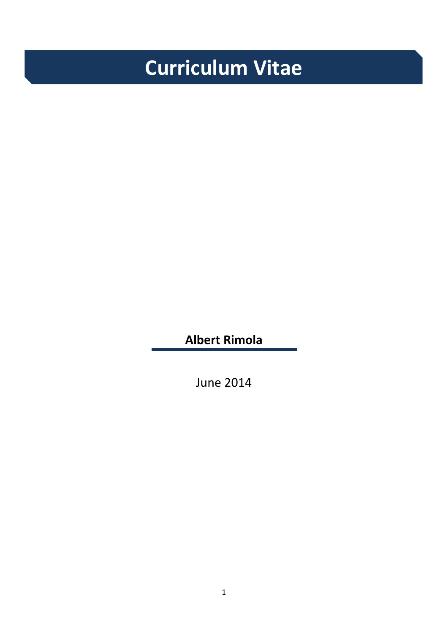# **Curriculum Vitae**

**Albert Rimola**

June 2014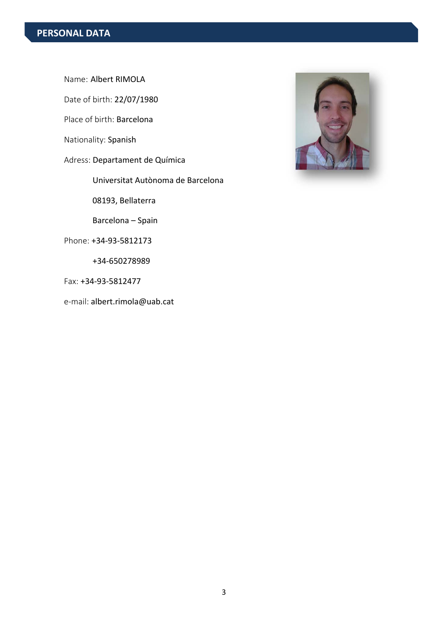Name: Albert RIMOLA

Date of birth: 22/07/1980

Place of birth: Barcelona

Nationality: Spanish

Adress: Departament de Química

Universitat Autònoma de Barcelona

08193, Bellaterra

Barcelona – Spain

Phone: +34‐93‐5812173

+34‐650278989

Fax: +34‐93‐5812477

e‐mail: albert.rimola@uab.cat

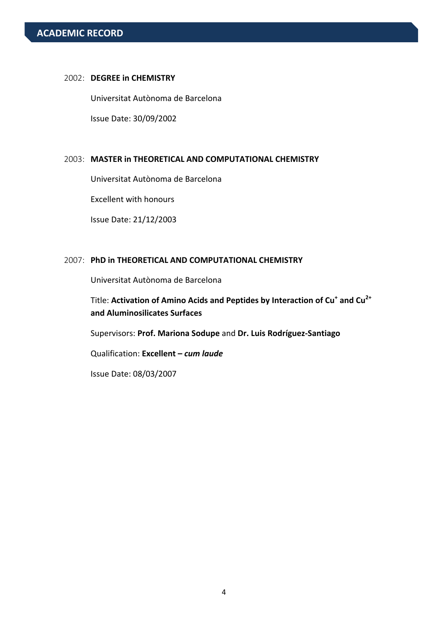#### 2002: **DEGREE in CHEMISTRY**

 Universitat Autònoma de Barcelona Issue Date: 30/09/2002

#### 2003: **MASTER in THEORETICAL AND COMPUTATIONAL CHEMISTRY**

Universitat Autònoma de Barcelona

Excellent with honours

Issue Date: 21/12/2003

#### 2007: **PhD in THEORETICAL AND COMPUTATIONAL CHEMISTRY**

Universitat Autònoma de Barcelona

Title: **Activation of Amino Acids and Peptides by Interaction of Cu+ and Cu2+ and Aluminosilicates Surfaces**

Supervisors: **Prof. Mariona Sodupe** and **Dr. Luis Rodríguez‐Santiago**

Qualification: **Excellent –** *cum laude*

Issue Date: 08/03/2007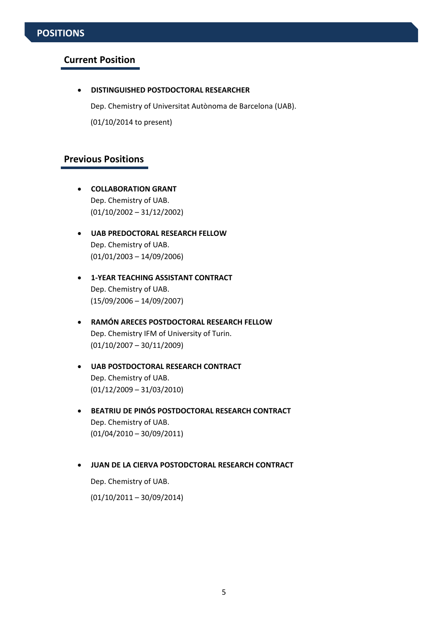# **POSITIONS**

#### **Current Position**

**DISTINGUISHED POSTDOCTORAL RESEARCHER**

Dep. Chemistry of Universitat Autònoma de Barcelona (UAB).

(01/10/2014 to present)

# **Previous Positions**

- **COLLABORATION GRANT** Dep. Chemistry of UAB. (01/10/2002 – 31/12/2002)
- **UAB PREDOCTORAL RESEARCH FELLOW** Dep. Chemistry of UAB. (01/01/2003 – 14/09/2006)
- **1‐YEAR TEACHING ASSISTANT CONTRACT** Dep. Chemistry of UAB. (15/09/2006 – 14/09/2007)
- **RAMÓN ARECES POSTDOCTORAL RESEARCH FELLOW** Dep. Chemistry IFM of University of Turin. (01/10/2007 – 30/11/2009)
- **UAB POSTDOCTORAL RESEARCH CONTRACT** Dep. Chemistry of UAB. (01/12/2009 – 31/03/2010)
- **BEATRIU DE PINÓS POSTDOCTORAL RESEARCH CONTRACT** Dep. Chemistry of UAB. (01/04/2010 – 30/09/2011)
- **JUAN DE LA CIERVA POSTODCTORAL RESEARCH CONTRACT**

Dep. Chemistry of UAB.

(01/10/2011 – 30/09/2014)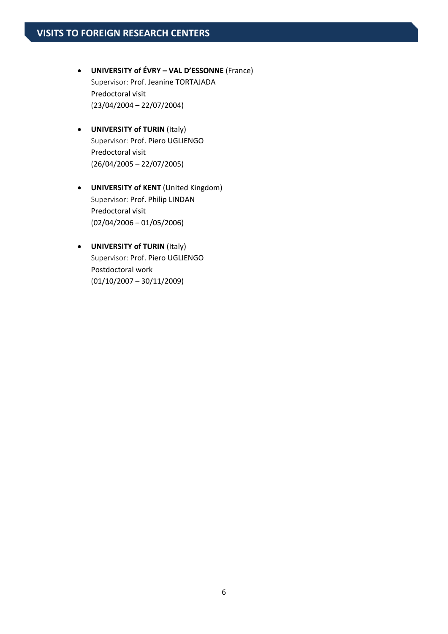- **UNIVERSITY of ÉVRY – VAL D'ESSONNE** (France) Supervisor: Prof. Jeanine TORTAJADA Predoctoral visit (23/04/2004 – 22/07/2004)
- **UNIVERSITY of TURIN** (Italy) Supervisor: Prof. Piero UGLIENGO Predoctoral visit (26/04/2005 – 22/07/2005)
- **UNIVERSITY of KENT** (United Kingdom) Supervisor: Prof. Philip LINDAN Predoctoral visit (02/04/2006 – 01/05/2006)
- **UNIVERSITY of TURIN** (Italy) Supervisor: Prof. Piero UGLIENGO Postdoctoral work  $(01/10/2007 - 30/11/2009)$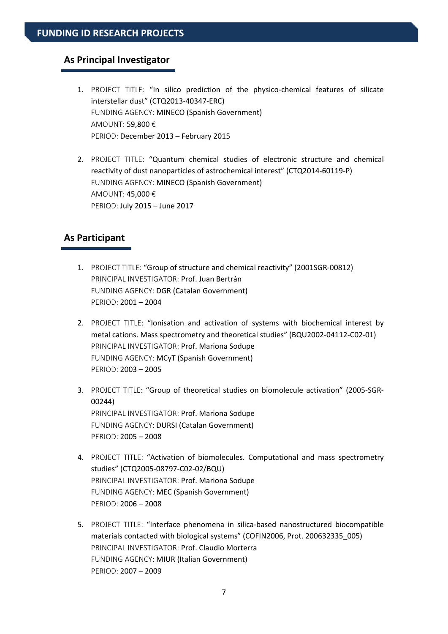#### **As Principal Investigator**

- 1. PROJECT TITLE: "In silico prediction of the physico-chemical features of silicate interstellar dust" (CTQ2013‐40347‐ERC) FUNDING AGENCY: MINECO (Spanish Government) AMOUNT: 59,800 € PERIOD: December 2013 – February 2015
- 2. PROJECT TITLE: "Quantum chemical studies of electronic structure and chemical reactivity of dust nanoparticles of astrochemical interest" (CTQ2014‐60119‐P) FUNDING AGENCY: MINECO (Spanish Government) AMOUNT: 45,000 € PERIOD: July 2015 – June 2017

## **As Participant**

- 1. PROJECT TITLE: "Group of structure and chemical reactivity" (2001SGR‐00812) PRINCIPAL INVESTIGATOR: Prof. Juan Bertrán FUNDING AGENCY: DGR (Catalan Government) PERIOD: 2001 – 2004
- 2. PROJECT TITLE: "Ionisation and activation of systems with biochemical interest by metal cations. Mass spectrometry and theoretical studies" (BQU2002‐04112‐C02‐01) PRINCIPAL INVESTIGATOR: Prof. Mariona Sodupe FUNDING AGENCY: MCyT (Spanish Government) PERIOD: 2003 – 2005
- 3. PROJECT TITLE: "Group of theoretical studies on biomolecule activation" (2005‐SGR‐ 00244) PRINCIPAL INVESTIGATOR: Prof. Mariona Sodupe FUNDING AGENCY: DURSI (Catalan Government) PERIOD: 2005 – 2008
- 4. PROJECT TITLE: "Activation of biomolecules. Computational and mass spectrometry studies" (CTQ2005‐08797‐C02‐02/BQU) PRINCIPAL INVESTIGATOR: Prof. Mariona Sodupe FUNDING AGENCY: MEC (Spanish Government) PERIOD: 2006 – 2008
- 5. PROJECT TITLE: "Interface phenomena in silica-based nanostructured biocompatible materials contacted with biological systems" (COFIN2006, Prot. 200632335 005) PRINCIPAL INVESTIGATOR: Prof. Claudio Morterra FUNDING AGENCY: MIUR (Italian Government) PERIOD: 2007 – 2009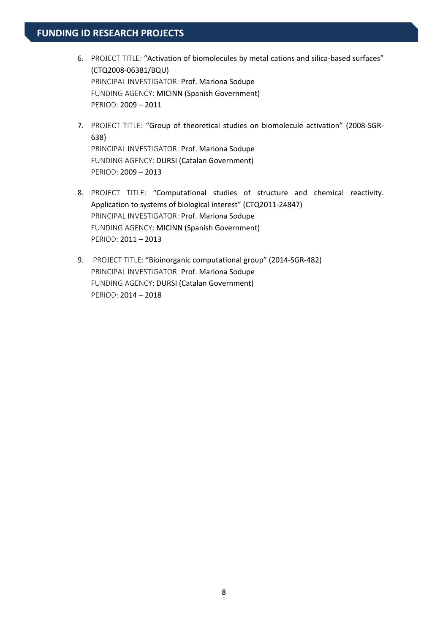- 6. PROJECT TITLE: "Activation of biomolecules by metal cations and silica-based surfaces" (CTQ2008‐06381/BQU) PRINCIPAL INVESTIGATOR: Prof. Mariona Sodupe FUNDING AGENCY: MICINN (Spanish Government) PERIOD: 2009 – 2011
- 7. PROJECT TITLE: "Group of theoretical studies on biomolecule activation" (2008‐SGR‐ 638) PRINCIPAL INVESTIGATOR: Prof. Mariona Sodupe FUNDING AGENCY: DURSI (Catalan Government) PERIOD: 2009 – 2013
- 8. PROJECT TITLE: "Computational studies of structure and chemical reactivity. Application to systems of biological interest" (CTQ2011-24847) PRINCIPAL INVESTIGATOR: Prof. Mariona Sodupe FUNDING AGENCY: MICINN (Spanish Government) PERIOD: 2011 – 2013
- 9. PROJECT TITLE: "Bioinorganic computational group" (2014-SGR-482) PRINCIPAL INVESTIGATOR: Prof. Mariona Sodupe FUNDING AGENCY: DURSI (Catalan Government) PERIOD: 2014 – 2018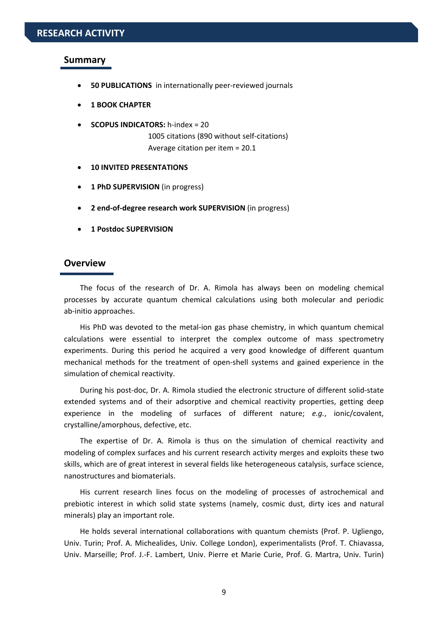#### **Summary**

- **50 PUBLICATIONS** in internationally peer‐reviewed journals
- **1 BOOK CHAPTER**
- **SCOPUS INDICATORS:** h‐index = 20 1005 citations (890 without self‐citations) Average citation per item = 20.1
- **10 INVITED PRESENTATIONS**
- **1 PhD SUPERVISION** (in progress)
- **2 end‐of‐degree research work SUPERVISION** (in progress)
- **1 Postdoc SUPERVISION**

## **Overview**

The focus of the research of Dr. A. Rimola has always been on modeling chemical processes by accurate quantum chemical calculations using both molecular and periodic ab‐initio approaches.

His PhD was devoted to the metal‐ion gas phase chemistry, in which quantum chemical calculations were essential to interpret the complex outcome of mass spectrometry experiments. During this period he acquired a very good knowledge of different quantum mechanical methods for the treatment of open‐shell systems and gained experience in the simulation of chemical reactivity.

During his post‐doc, Dr. A. Rimola studied the electronic structure of different solid‐state extended systems and of their adsorptive and chemical reactivity properties, getting deep experience in the modeling of surfaces of different nature; *e.g.*, ionic/covalent, crystalline/amorphous, defective, etc.

The expertise of Dr. A. Rimola is thus on the simulation of chemical reactivity and modeling of complex surfaces and his current research activity merges and exploits these two skills, which are of great interest in several fields like heterogeneous catalysis, surface science, nanostructures and biomaterials.

His current research lines focus on the modeling of processes of astrochemical and prebiotic interest in which solid state systems (namely, cosmic dust, dirty ices and natural minerals) play an important role.

He holds several international collaborations with quantum chemists (Prof. P. Ugliengo, Univ. Turin; Prof. A. Michealides, Univ. College London), experimentalists (Prof. T. Chiavassa, Univ. Marseille; Prof. J.‐F. Lambert, Univ. Pierre et Marie Curie, Prof. G. Martra, Univ. Turin)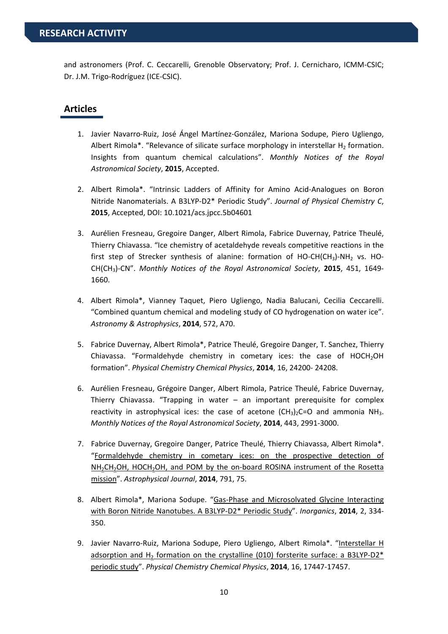and astronomers (Prof. C. Ceccarelli, Grenoble Observatory; Prof. J. Cernicharo, ICMM‐CSIC; Dr. J.M. Trigo‐Rodríguez (ICE‐CSIC).

#### **Articles**

- 1. Javier Navarro‐Ruiz, José Ángel Martínez‐González, Mariona Sodupe, Piero Ugliengo, Albert Rimola\*. "Relevance of silicate surface morphology in interstellar  $H_2$  formation. Insights from quantum chemical calculations". *Monthly Notices of the Royal Astronomical Society*, **2015**, Accepted.
- 2. Albert Rimola\*. "Intrinsic Ladders of Affinity for Amino Acid-Analogues on Boron Nitride Nanomaterials. A B3LYP‐D2\* Periodic Study". *Journal of Physical Chemistry C*, **2015**, Accepted, DOI: 10.1021/acs.jpcc.5b04601
- 3. Aurélien Fresneau, Gregoire Danger, Albert Rimola, Fabrice Duvernay, Patrice Theulé, Thierry Chiavassa. "Ice chemistry of acetaldehyde reveals competitive reactions in the first step of Strecker synthesis of alanine: formation of HO-CH(CH<sub>3</sub>)-NH<sub>2</sub> vs. HO-CH(CH3)‐CN". *Monthly Notices of the Royal Astronomical Society*, **2015**, 451, 1649‐ 1660.
- 4. Albert Rimola\*, Vianney Taquet, Piero Ugliengo, Nadia Balucani, Cecilia Ceccarelli. "Combined quantum chemical and modeling study of CO hydrogenation on water ice". *Astronomy & Astrophysics*, **2014**, 572, A70.
- 5. Fabrice Duvernay, Albert Rimola\*, Patrice Theulé, Gregoire Danger, T. Sanchez, Thierry Chiavassa. "Formaldehyde chemistry in cometary ices: the case of HOCH<sub>2</sub>OH formation". *Physical Chemistry Chemical Physics*, **2014**, 16, 24200‐ 24208.
- 6. Aurélien Fresneau, Grégoire Danger, Albert Rimola, Patrice Theulé, Fabrice Duvernay, Thierry Chiavassa. "Trapping in water – an important prerequisite for complex reactivity in astrophysical ices: the case of acetone  $(CH_3)_2C=O$  and ammonia NH<sub>3</sub>. *Monthly Notices of the Royal Astronomical Society*, **2014**, 443, 2991‐3000.
- 7. Fabrice Duvernay, Gregoire Danger, Patrice Theulé, Thierry Chiavassa, Albert Rimola\*. "Formaldehyde chemistry in cometary ices: on the prospective detection of NH<sub>2</sub>CH<sub>2</sub>OH, HOCH<sub>2</sub>OH, and POM by the on-board ROSINA instrument of the Rosetta mission". *Astrophysical Journal*, **2014**, 791, 75.
- 8. Albert Rimola\*, Mariona Sodupe. "Gas‐Phase and Microsolvated Glycine Interacting with Boron Nitride Nanotubes. A B3LYP‐D2\* Periodic Study". *Inorganics*, **2014**, 2, 334‐ 350.
- 9. Javier Navarro‐Ruiz, Mariona Sodupe, Piero Ugliengo, Albert Rimola\*. "Interstellar H adsorption and  $H_2$  formation on the crystalline (010) forsterite surface: a B3LYP-D2\* periodic study". *Physical Chemistry Chemical Physics*, **2014**, 16, 17447‐17457.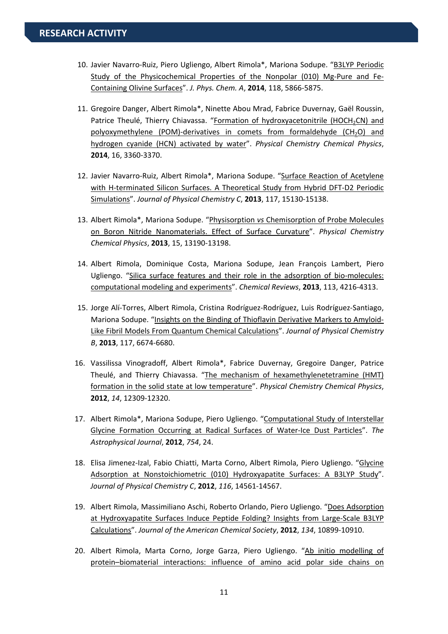- 10. Javier Navarro‐Ruiz, Piero Ugliengo, Albert Rimola\*, Mariona Sodupe. "B3LYP Periodic Study of the Physicochemical Properties of the Nonpolar (010) Mg-Pure and Fe-Containing Olivine Surfaces". *J. Phys. Chem. A*, **2014**, 118, 5866‐5875.
- 11. Gregoire Danger, Albert Rimola\*, Ninette Abou Mrad, Fabrice Duvernay, Gaël Roussin, Patrice Theulé, Thierry Chiavassa. "Formation of hydroxyacetonitrile (HOCH<sub>2</sub>CN) and polyoxymethylene (POM)-derivatives in comets from formaldehyde (CH<sub>2</sub>O) and hydrogen cyanide (HCN) activated by water". *Physical Chemistry Chemical Physics*, **2014**, 16, 3360‐3370.
- 12. Javier Navarro-Ruiz, Albert Rimola\*, Mariona Sodupe. "Surface Reaction of Acetylene with H-terminated Silicon Surfaces. A Theoretical Study from Hybrid DFT-D2 Periodic Simulations". *Journal of Physical Chemistry C*, **2013**, 117, 15130‐15138.
- 13. Albert Rimola\*, Mariona Sodupe. "Physisorption *vs* Chemisorption of Probe Molecules on Boron Nitride Nanomaterials. Effect of Surface Curvature". *Physical Chemistry Chemical Physics*, **2013**, 15, 13190‐13198.
- 14. Albert Rimola, Dominique Costa, Mariona Sodupe, Jean François Lambert, Piero Ugliengo. "Silica surface features and their role in the adsorption of bio‐molecules: computational modeling and experiments". *Chemical Reviews*, **2013**, 113, 4216‐4313.
- 15. Jorge Alí‐Torres, Albert Rimola, Cristina Rodríguez‐Rodríguez, Luis Rodríguez‐Santiago, Mariona Sodupe. "Insights on the Binding of Thioflavin Derivative Markers to Amyloid‐ Like Fibril Models From Quantum Chemical Calculations". *Journal of Physical Chemistry B*, **2013**, 117, 6674‐6680.
- 16. Vassilissa Vinogradoff, Albert Rimola\*, Fabrice Duvernay, Gregoire Danger, Patrice Theulé, and Thierry Chiavassa. "The mechanism of hexamethylenetetramine (HMT) formation in the solid state at low temperature". *Physical Chemistry Chemical Physics*, **2012**, *14*, 12309‐12320.
- 17. Albert Rimola\*, Mariona Sodupe, Piero Ugliengo. "Computational Study of Interstellar Glycine Formation Occurring at Radical Surfaces of Water‐Ice Dust Particles". *The Astrophysical Journal*, **2012**, *754*, 24.
- 18. Elisa Jimenez-Izal, Fabio Chiatti, Marta Corno, Albert Rimola, Piero Ugliengo. "Glycine Adsorption at Nonstoichiometric (010) Hydroxyapatite Surfaces: A B3LYP Study". *Journal of Physical Chemistry C*, **2012**, *116*, 14561‐14567.
- 19. Albert Rimola, Massimiliano Aschi, Roberto Orlando, Piero Ugliengo. "Does Adsorption at Hydroxyapatite Surfaces Induce Peptide Folding? Insights from Large‐Scale B3LYP Calculations". *Journal of the American Chemical Society*, **2012**, *134*, 10899‐10910.
- 20. Albert Rimola, Marta Corno, Jorge Garza, Piero Ugliengo. "Ab initio modelling of protein–biomaterial interactions: influence of amino acid polar side chains on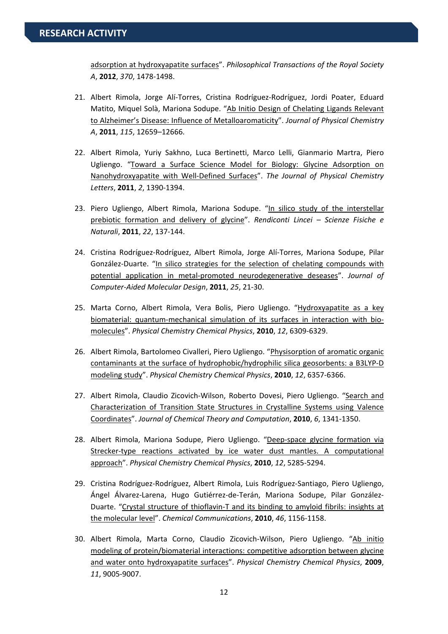adsorption at hydroxyapatite surfaces". *Philosophical Transactions of the Royal Society A*, **2012**, *370*, 1478‐1498.

- 21. Albert Rimola, Jorge Alí‐Torres, Cristina Rodríguez‐Rodríguez, Jordi Poater, Eduard Matito, Miquel Solà, Mariona Sodupe. "Ab Initio Design of Chelating Ligands Relevant to Alzheimer's Disease: Influence of Metalloaromaticity". *Journal of Physical Chemistry A*, **2011**, *115*, 12659–12666.
- 22. Albert Rimola, Yuriy Sakhno, Luca Bertinetti, Marco Lelli, Gianmario Martra, Piero Ugliengo. "Toward a Surface Science Model for Biology: Glycine Adsorption on Nanohydroxyapatite with Well‐Defined Surfaces". *The Journal of Physical Chemistry Letters*, **2011**, *2*, 1390‐1394.
- 23. Piero Ugliengo, Albert Rimola, Mariona Sodupe. "In silico study of the interstellar prebiotic formation and delivery of glycine". *Rendiconti Lincei – Scienze Fisiche e Naturali*, **2011**, *22*, 137‐144.
- 24. Cristina Rodríguez‐Rodríguez, Albert Rimola, Jorge Alí‐Torres, Mariona Sodupe, Pilar González-Duarte. "In silico strategies for the selection of chelating compounds with potential application in metal‐promoted neurodegenerative deseases". *Journal of Computer‐Aided Molecular Design*, **2011**, *25*, 21‐30.
- 25. Marta Corno, Albert Rimola, Vera Bolis, Piero Ugliengo. "Hydroxyapatite as a key biomaterial: quantum-mechanical simulation of its surfaces in interaction with biomolecules". *Physical Chemistry Chemical Physics*, **2010**, *12*, 6309‐6329.
- 26. Albert Rimola, Bartolomeo Civalleri, Piero Ugliengo. "Physisorption of aromatic organic contaminants at the surface of hydrophobic/hydrophilic silica geosorbents: a B3LYP‐D modeling study". *Physical Chemistry Chemical Physics*, **2010**, *12*, 6357‐6366.
- 27. Albert Rimola, Claudio Zicovich-Wilson, Roberto Dovesi, Piero Ugliengo. "Search and Characterization of Transition State Structures in Crystalline Systems using Valence Coordinates". *Journal of Chemical Theory and Computation*, **2010**, *6*, 1341‐1350.
- 28. Albert Rimola, Mariona Sodupe, Piero Ugliengo. "Deep-space glycine formation via Strecker‐type reactions activated by ice water dust mantles. A computational approach". *Physical Chemistry Chemical Physics*, **2010**, *12*, 5285‐5294.
- 29. Cristina Rodríguez‐Rodríguez, Albert Rimola, Luis Rodríguez‐Santiago, Piero Ugliengo, Ángel Álvarez‐Larena, Hugo Gutiérrez‐de‐Terán, Mariona Sodupe, Pilar González‐ Duarte. "Crystal structure of thioflavin‐T and its binding to amyloid fibrils: insights at the molecular level". *Chemical Communications*, **2010**, *46*, 1156‐1158.
- 30. Albert Rimola, Marta Corno, Claudio Zicovich-Wilson, Piero Ugliengo. "Ab initio modeling of protein/biomaterial interactions: competitive adsorption between glycine and water onto hydroxyapatite surfaces". *Physical Chemistry Chemical Physics*, **2009**, *11*, 9005‐9007.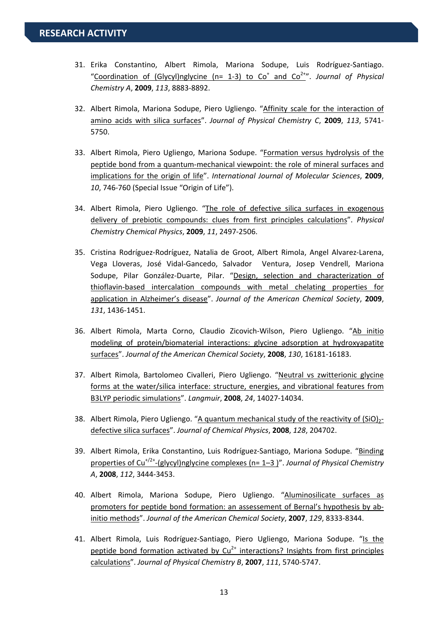- 31. Erika Constantino, Albert Rimola, Mariona Sodupe, Luis Rodríguez‐Santiago. "Coordination of (Glycyl)nglycine (n= 1-3) to Co<sup>+</sup> and Co<sup>2+</sup>". *Journal of Physical Chemistry A*, **2009**, *113*, 8883‐8892.
- 32. Albert Rimola, Mariona Sodupe, Piero Ugliengo. "Affinity scale for the interaction of amino acids with silica surfaces". *Journal of Physical Chemistry C*, **2009**, *113*, 5741‐ 5750.
- 33. Albert Rimola, Piero Ugliengo, Mariona Sodupe. "Formation versus hydrolysis of the peptide bond from a quantum‐mechanical viewpoint: the role of mineral surfaces and implications for the origin of life". *International Journal of Molecular Sciences*, **2009**, *10*, 746‐760 (Special Issue "Origin of Life").
- 34. Albert Rimola, Piero Ugliengo. "The role of defective silica surfaces in exogenous delivery of prebiotic compounds: clues from first principles calculations". *Physical Chemistry Chemical Physics*, **2009**, *11*, 2497‐2506.
- 35. Cristina Rodríguez‐Rodríguez, Natalia de Groot, Albert Rimola, Angel Alvarez‐Larena, Vega Lloveras, José Vidal‐Gancedo, Salvador Ventura, Josep Vendrell, Mariona Sodupe, Pilar González-Duarte, Pilar. "Design, selection and characterization of thioflavin‐based intercalation compounds with metal chelating properties for application in Alzheimer's disease". *Journal of the American Chemical Society*, **2009**, *131*, 1436‐1451.
- 36. Albert Rimola, Marta Corno, Claudio Zicovich‐Wilson, Piero Ugliengo. "Ab initio modeling of protein/biomaterial interactions: glycine adsorption at hydroxyapatite surfaces". *Journal of the American Chemical Society*, **2008**, *130*, 16181‐16183.
- 37. Albert Rimola, Bartolomeo Civalleri, Piero Ugliengo. "Neutral vs zwitterionic glycine forms at the water/silica interface: structure, energies, and vibrational features from B3LYP periodic simulations". *Langmuir*, **2008**, *24*, 14027‐14034.
- 38. Albert Rimola, Piero Ugliengo. "A quantum mechanical study of the reactivity of  $(SiO)<sub>2</sub>$ defective silica surfaces". *Journal of Chemical Physics*, **2008**, *128*, 204702.
- 39. Albert Rimola, Erika Constantino, Luis Rodríguez‐Santiago, Mariona Sodupe. "Binding properties of Cu+/2+‐(glycyl)nglycine complexes (n= 1–3 )". *Journal of Physical Chemistry A*, **2008**, *112*, 3444‐3453.
- 40. Albert Rimola, Mariona Sodupe, Piero Ugliengo. "Aluminosilicate surfaces as promoters for peptide bond formation: an assessement of Bernal's hypothesis by ab‐ initio methods". *Journal of the American Chemical Society*, **2007**, *129*, 8333‐8344.
- 41. Albert Rimola, Luis Rodríguez-Santiago, Piero Ugliengo, Mariona Sodupe. "Is the peptide bond formation activated by  $Cu^{2+}$  interactions? Insights from first principles calculations". *Journal of Physical Chemistry B*, **2007**, *111*, 5740‐5747.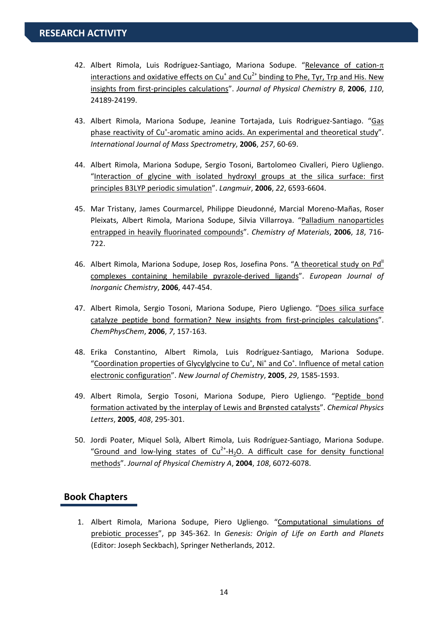- 42. Albert Rimola, Luis Rodríguez-Santiago, Mariona Sodupe. "Relevance of cation- $\pi$ interactions and oxidative effects on  $Cu<sup>+</sup>$  and  $Cu<sup>2+</sup>$  binding to Phe, Tyr, Trp and His. New insights from first‐principles calculations". *Journal of Physical Chemistry B*, **2006**, *110*, 24189‐24199.
- 43. Albert Rimola, Mariona Sodupe, Jeanine Tortajada, Luis Rodriguez‐Santiago. "Gas phase reactivity of Cu<sup>+</sup>-aromatic amino acids. An experimental and theoretical study". *International Journal of Mass Spectrometry*, **2006**, *257*, 60‐69.
- 44. Albert Rimola, Mariona Sodupe, Sergio Tosoni, Bartolomeo Civalleri, Piero Ugliengo. "Interaction of glycine with isolated hydroxyl groups at the silica surface: first principles B3LYP periodic simulation". *Langmuir*, **2006**, *22*, 6593‐6604.
- 45. Mar Tristany, James Courmarcel, Philippe Dieudonné, Marcial Moreno‐Mañas, Roser Pleixats, Albert Rimola, Mariona Sodupe, Silvia Villarroya. "Palladium nanoparticles entrapped in heavily fluorinated compounds". *Chemistry of Materials*, **2006**, *18*, 716‐ 722.
- 46. Albert Rimola, Mariona Sodupe, Josep Ros, Josefina Pons. "A theoretical study on Pd" complexes containing hemilabile pyrazole‐derived ligands". *European Journal of Inorganic Chemistry*, **2006**, 447‐454.
- 47. Albert Rimola, Sergio Tosoni, Mariona Sodupe, Piero Ugliengo. "Does silica surface catalyze peptide bond formation? New insights from first-principles calculations". *ChemPhysChem*, **2006**, *7*, 157‐163.
- 48. Erika Constantino, Albert Rimola, Luis Rodríguez‐Santiago, Mariona Sodupe. "Coordination properties of Glycylglycine to Cu<sup>+</sup>, Ni<sup>+</sup> and Co<sup>+</sup>. Influence of metal cation electronic configuration". *New Journal of Chemistry*, **2005**, *29*, 1585‐1593.
- 49. Albert Rimola, Sergio Tosoni, Mariona Sodupe, Piero Ugliengo. "Peptide bond formation activated by the interplay of Lewis and Brønsted catalysts". *Chemical Physics Letters*, **2005**, *408*, 295‐301.
- 50. Jordi Poater, Miquel Solà, Albert Rimola, Luis Rodríguez‐Santiago, Mariona Sodupe. "Ground and low-lying states of  $Cu^{2+}H_2O$ . A difficult case for density functional methods". *Journal of Physical Chemistry A*, **2004**, *108*, 6072‐6078.

#### **Book Chapters**

1. Albert Rimola, Mariona Sodupe, Piero Ugliengo. "Computational simulations of prebiotic processes", pp 345‐362. In *Genesis: Origin of Life on Earth and Planets* (Editor: Joseph Seckbach), Springer Netherlands, 2012.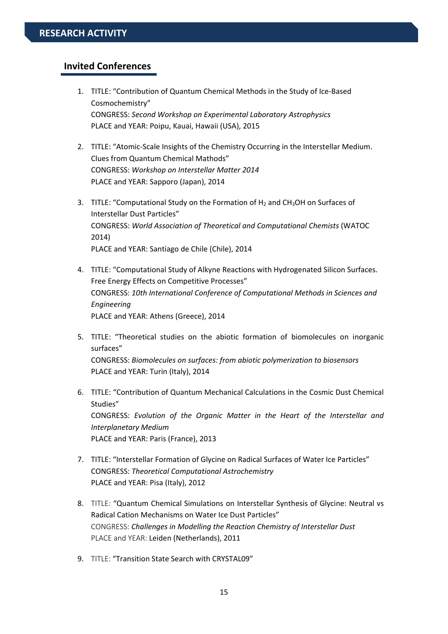## **Invited Conferences**

- 1. TITLE: "Contribution of Quantum Chemical Methods in the Study of Ice‐Based Cosmochemistry" CONGRESS: *Second Workshop on Experimental Laboratory Astrophysics* PLACE and YEAR: Poipu, Kauai, Hawaii (USA), 2015
- 2. TITLE: "Atomic-Scale Insights of the Chemistry Occurring in the Interstellar Medium. Clues from Quantum Chemical Mathods" CONGRESS: *Workshop on Interstellar Matter 2014* PLACE and YEAR: Sapporo (Japan), 2014
- 3. TITLE: "Computational Study on the Formation of  $H_2$  and CH<sub>3</sub>OH on Surfaces of Interstellar Dust Particles" CONGRESS: *World Association of Theoretical and Computational Chemists* (WATOC 2014) PLACE and YEAR: Santiago de Chile (Chile), 2014
- 4. TITLE: "Computational Study of Alkyne Reactions with Hydrogenated Silicon Surfaces. Free Energy Effects on Competitive Processes" CONGRESS: *10th International Conference of Computational Methods in Sciences and Engineering* PLACE and YEAR: Athens (Greece), 2014
- 5. TITLE: "Theoretical studies on the abiotic formation of biomolecules on inorganic surfaces" CONGRESS: *Biomolecules on surfaces: from abiotic polymerization to biosensors* PLACE and YEAR: Turin (Italy), 2014
- 6. TITLE: "Contribution of Quantum Mechanical Calculations in the Cosmic Dust Chemical Studies" CONGRESS: *Evolution of the Organic Matter in the Heart of the Interstellar and Interplanetary Medium* PLACE and YEAR: Paris (France), 2013
- 7. TITLE: "Interstellar Formation of Glycine on Radical Surfaces of Water Ice Particles" CONGRESS: *Theoretical Computational Astrochemistry* PLACE and YEAR: Pisa (Italy), 2012
- 8. TITLE: "Quantum Chemical Simulations on Interstellar Synthesis of Glycine: Neutral vs Radical Cation Mechanisms on Water Ice Dust Particles" CONGRESS: *Challenges in Modelling the Reaction Chemistry of Interstellar Dust* PLACE and YEAR: Leiden (Netherlands), 2011
- 9. TITLE: "Transition State Search with CRYSTAL09"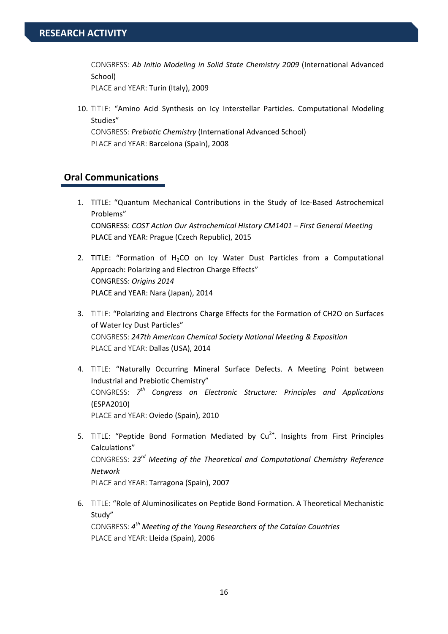CONGRESS: *Ab Initio Modeling in Solid State Chemistry 2009* (International Advanced School)

PLACE and YEAR: Turin (Italy), 2009

10. TITLE: "Amino Acid Synthesis on Icy Interstellar Particles. Computational Modeling Studies"

CONGRESS: *Prebiotic Chemistry* (International Advanced School) PLACE and YEAR: Barcelona (Spain), 2008

# **Oral Communications**

- 1. TITLE: "Quantum Mechanical Contributions in the Study of Ice‐Based Astrochemical Problems" CONGRESS: *COST Action Our Astrochemical History CM1401 – First General Meeting* PLACE and YEAR: Prague (Czech Republic), 2015
- 2. TITLE: "Formation of  $H_2CO$  on Icy Water Dust Particles from a Computational Approach: Polarizing and Electron Charge Effects" CONGRESS: *Origins 2014* PLACE and YEAR: Nara (Japan), 2014
- 3. TITLE: "Polarizing and Electrons Charge Effects for the Formation of CH2O on Surfaces of Water Icy Dust Particles" CONGRESS: *247th American Chemical Society National Meeting & Exposition* PLACE and YEAR: Dallas (USA), 2014
- 4. TITLE: "Naturally Occurring Mineral Surface Defects. A Meeting Point between Industrial and Prebiotic Chemistry" CONGRESS: *7th Congress on Electronic Structure: Principles and Applications* (ESPA2010) PLACE and YEAR: Oviedo (Spain), 2010
- 5. TITLE: "Peptide Bond Formation Mediated by  $Cu<sup>2+</sup>$ . Insights from First Principles Calculations" CONGRESS: *23rd Meeting of the Theoretical and Computational Chemistry Reference Network* PLACE and YEAR: Tarragona (Spain), 2007
- 6. TITLE: "Role of Aluminosilicates on Peptide Bond Formation. A Theoretical Mechanistic Study" CONGRESS: *4th Meeting of the Young Researchers of the Catalan Countries* PLACE and YEAR: Lleida (Spain), 2006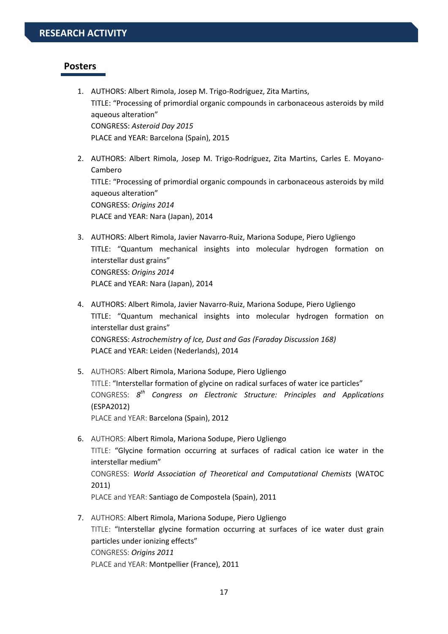#### **Posters**

- 1. AUTHORS: Albert Rimola, Josep M. Trigo‐Rodríguez, Zita Martins, TITLE: "Processing of primordial organic compounds in carbonaceous asteroids by mild aqueous alteration" CONGRESS: *Asteroid Day 2015* PLACE and YEAR: Barcelona (Spain), 2015
- 2. AUTHORS: Albert Rimola, Josep M. Trigo‐Rodríguez, Zita Martins, Carles E. Moyano‐ Cambero TITLE: "Processing of primordial organic compounds in carbonaceous asteroids by mild aqueous alteration" CONGRESS: *Origins 2014* PLACE and YEAR: Nara (Japan), 2014
- 3. AUTHORS: Albert Rimola, Javier Navarro‐Ruiz, Mariona Sodupe, Piero Ugliengo TITLE: "Quantum mechanical insights into molecular hydrogen formation on interstellar dust grains" CONGRESS: *Origins 2014* PLACE and YEAR: Nara (Japan), 2014
- 4. AUTHORS: Albert Rimola, Javier Navarro‐Ruiz, Mariona Sodupe, Piero Ugliengo TITLE: "Quantum mechanical insights into molecular hydrogen formation on interstellar dust grains" CONGRESS: *Astrochemistry of Ice, Dust and Gas (Faraday Discussion 168)* PLACE and YEAR: Leiden (Nederlands), 2014
- 5. AUTHORS: Albert Rimola, Mariona Sodupe, Piero Ugliengo TITLE: "Interstellar formation of glycine on radical surfaces of water ice particles" CONGRESS: *8th Congress on Electronic Structure: Principles and Applications* (ESPA2012) PLACE and YEAR: Barcelona (Spain), 2012
- 6. AUTHORS: Albert Rimola, Mariona Sodupe, Piero Ugliengo TITLE: "Glycine formation occurring at surfaces of radical cation ice water in the interstellar medium" CONGRESS: *World Association of Theoretical and Computational Chemists* (WATOC 2011) PLACE and YEAR: Santiago de Compostela (Spain), 2011
- 7. AUTHORS: Albert Rimola, Mariona Sodupe, Piero Ugliengo TITLE: "Interstellar glycine formation occurring at surfaces of ice water dust grain particles under ionizing effects" CONGRESS: *Origins 2011* PLACE and YEAR: Montpellier (France), 2011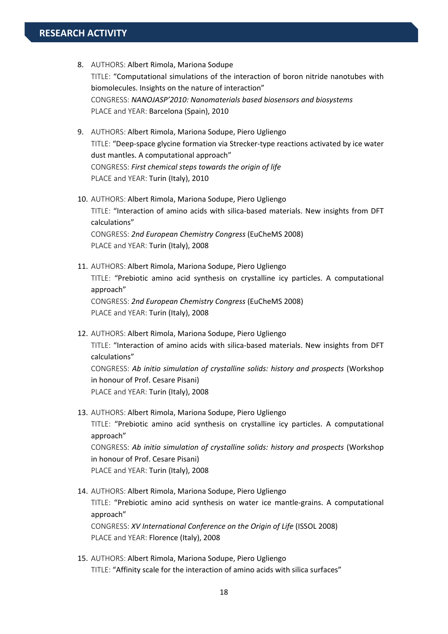- 8. AUTHORS: Albert Rimola, Mariona Sodupe TITLE: "Computational simulations of the interaction of boron nitride nanotubes with biomolecules. Insights on the nature of interaction" CONGRESS: *NANOJASP'2010: Nanomaterials based biosensors and biosystems* PLACE and YEAR: Barcelona (Spain), 2010
- 9. AUTHORS: Albert Rimola, Mariona Sodupe, Piero Ugliengo TITLE: "Deep‐space glycine formation via Strecker‐type reactions activated by ice water dust mantles. A computational approach" CONGRESS: *First chemical steps towards the origin of life* PLACE and YEAR: Turin (Italy), 2010
- 10. AUTHORS: Albert Rimola, Mariona Sodupe, Piero Ugliengo TITLE: "Interaction of amino acids with silica‐based materials. New insights from DFT calculations" CONGRESS: *2nd European Chemistry Congress* (EuCheMS 2008) PLACE and YEAR: Turin (Italy), 2008
- 11. AUTHORS: Albert Rimola, Mariona Sodupe, Piero Ugliengo TITLE: "Prebiotic amino acid synthesis on crystalline icy particles. A computational approach" CONGRESS: *2nd European Chemistry Congress* (EuCheMS 2008) PLACE and YEAR: Turin (Italy), 2008
- 12. AUTHORS: Albert Rimola, Mariona Sodupe, Piero Ugliengo TITLE: "Interaction of amino acids with silica‐based materials. New insights from DFT calculations" CONGRESS: *Ab initio simulation of crystalline solids: history and prospects* (Workshop in honour of Prof. Cesare Pisani) PLACE and YEAR: Turin (Italy), 2008
- 13. AUTHORS: Albert Rimola, Mariona Sodupe, Piero Ugliengo TITLE: "Prebiotic amino acid synthesis on crystalline icy particles. A computational approach" CONGRESS: *Ab initio simulation of crystalline solids: history and prospects* (Workshop in honour of Prof. Cesare Pisani) PLACE and YEAR: Turin (Italy), 2008
- 14. AUTHORS: Albert Rimola, Mariona Sodupe, Piero Ugliengo TITLE: "Prebiotic amino acid synthesis on water ice mantle‐grains. A computational approach" CONGRESS: *XV International Conference on the Origin of Life* (ISSOL 2008) PLACE and YEAR: Florence (Italy), 2008
- 15. AUTHORS: Albert Rimola, Mariona Sodupe, Piero Ugliengo TITLE: "Affinity scale for the interaction of amino acids with silica surfaces"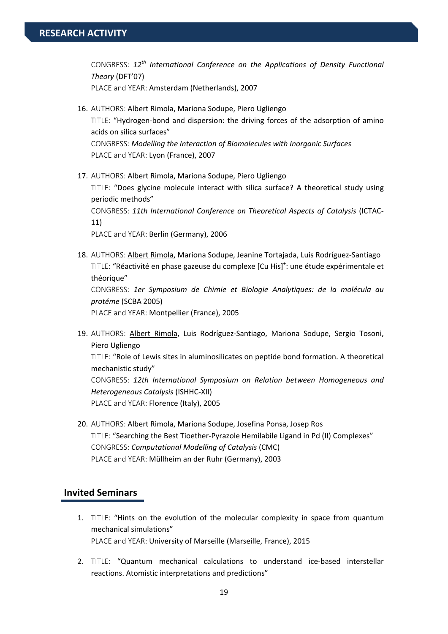CONGRESS: *12th International Conference on the Applications of Density Functional Theory* (DFT'07)

PLACE and YEAR: Amsterdam (Netherlands), 2007

- 16. AUTHORS: Albert Rimola, Mariona Sodupe, Piero Ugliengo TITLE: "Hydrogen‐bond and dispersion: the driving forces of the adsorption of amino acids on silica surfaces" CONGRESS: *Modelling the Interaction of Biomolecules with Inorganic Surfaces* PLACE and YEAR: Lyon (France), 2007
- 17. AUTHORS: Albert Rimola, Mariona Sodupe, Piero Ugliengo TITLE: "Does glycine molecule interact with silica surface? A theoretical study using periodic methods" CONGRESS: *11th International Conference on Theoretical Aspects of Catalysis* (ICTAC‐ 11)

PLACE and YEAR: Berlin (Germany), 2006

18. AUTHORS: Albert Rimola, Mariona Sodupe, Jeanine Tortajada, Luis Rodríguez‐Santiago TITLE: "Réactivité en phase gazeuse du complexe [Cu His]<sup>+</sup>: une étude expérimentale et théorique" CONGRESS: *1er Symposium de Chimie et Biologie Analytiques: de la molécula au protéme* (SCBA 2005)

PLACE and YEAR: Montpellier (France), 2005

19. AUTHORS: Albert Rimola, Luis Rodríguez‐Santiago, Mariona Sodupe, Sergio Tosoni, Piero Ugliengo

TITLE: "Role of Lewis sites in aluminosilicates on peptide bond formation. A theoretical mechanistic study"

CONGRESS: *12th International Symposium on Relation between Homogeneous and Heterogeneous Catalysis* (ISHHC‐XII) PLACE and YEAR: Florence (Italy), 2005

20. AUTHORS: Albert Rimola, Mariona Sodupe, Josefina Ponsa, Josep Ros TITLE: "Searching the Best Tioether‐Pyrazole Hemilabile Ligand in Pd (II) Complexes" CONGRESS: *Computational Modelling of Catalysis* (CMC) PLACE and YEAR: Müllheim an der Ruhr (Germany), 2003

#### **Invited Seminars**

- 1. TITLE: "Hints on the evolution of the molecular complexity in space from quantum mechanical simulations" PLACE and YEAR: University of Marseille (Marseille, France), 2015
- 2. TITLE: "Quantum mechanical calculations to understand ice‐based interstellar reactions. Atomistic interpretations and predictions"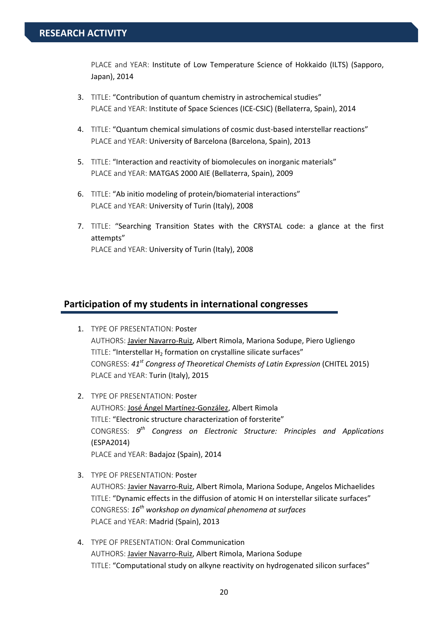PLACE and YEAR: Institute of Low Temperature Science of Hokkaido (ILTS) (Sapporo, Japan), 2014

- 3. TITLE: "Contribution of quantum chemistry in astrochemical studies" PLACE and YEAR: Institute of Space Sciences (ICE‐CSIC) (Bellaterra, Spain), 2014
- 4. TITLE: "Quantum chemical simulations of cosmic dust-based interstellar reactions" PLACE and YEAR: University of Barcelona (Barcelona, Spain), 2013
- 5. TITLE: "Interaction and reactivity of biomolecules on inorganic materials" PLACE and YEAR: MATGAS 2000 AIE (Bellaterra, Spain), 2009
- 6. TITLE: "Ab initio modeling of protein/biomaterial interactions" PLACE and YEAR: University of Turin (Italy), 2008
- 7. TITLE: "Searching Transition States with the CRYSTAL code: a glance at the first attempts" PLACE and YEAR: University of Turin (Italy), 2008

#### **Participation of my students in international congresses**

- 1. TYPE OF PRESENTATION: Poster AUTHORS: Javier Navarro‐Ruiz, Albert Rimola, Mariona Sodupe, Piero Ugliengo TITLE: "Interstellar H<sub>2</sub> formation on crystalline silicate surfaces" CONGRESS: *41st Congress of Theoretical Chemists of Latin Expression* (CHITEL 2015) PLACE and YEAR: Turin (Italy), 2015
- 2. TYPE OF PRESENTATION: Poster AUTHORS: José Ángel Martínez‐González, Albert Rimola TITLE: "Electronic structure characterization of forsterite" CONGRESS: *9th Congress on Electronic Structure: Principles and Applications* (ESPA2014) PLACE and YEAR: Badajoz (Spain), 2014
- 3. TYPE OF PRESENTATION: Poster AUTHORS: Javier Navarro‐Ruiz, Albert Rimola, Mariona Sodupe, Angelos Michaelides TITLE: "Dynamic effects in the diffusion of atomic H on interstellar silicate surfaces" CONGRESS: *16th workshop on dynamical phenomena at surfaces* PLACE and YEAR: Madrid (Spain), 2013
- 4. TYPE OF PRESENTATION: Oral Communication AUTHORS: Javier Navarro‐Ruiz, Albert Rimola, Mariona Sodupe TITLE: "Computational study on alkyne reactivity on hydrogenated silicon surfaces"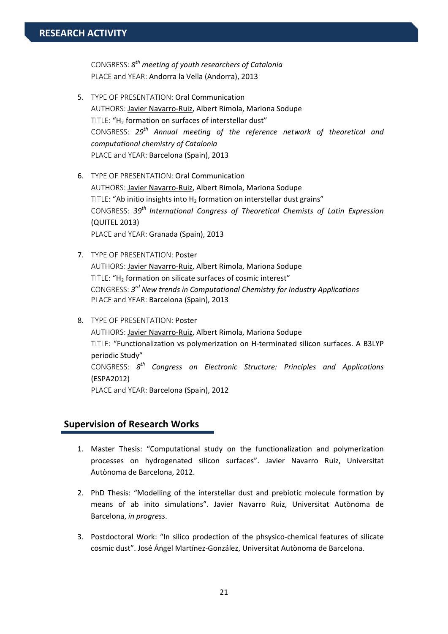CONGRESS: *8th meeting of youth researchers of Catalonia* PLACE and YEAR: Andorra la Vella (Andorra), 2013

- 5. TYPE OF PRESENTATION: Oral Communication AUTHORS: Javier Navarro‐Ruiz, Albert Rimola, Mariona Sodupe TITLE: "H<sub>2</sub> formation on surfaces of interstellar dust" CONGRESS: *29th Annual meeting of the reference network of theoretical and computational chemistry of Catalonia* PLACE and YEAR: Barcelona (Spain), 2013
- 6. TYPE OF PRESENTATION: Oral Communication AUTHORS: Javier Navarro‐Ruiz, Albert Rimola, Mariona Sodupe TITLE: "Ab initio insights into  $H_2$  formation on interstellar dust grains" CONGRESS: *39th International Congress of Theoretical Chemists of Latin Expression* (QUITEL 2013) PLACE and YEAR: Granada (Spain), 2013
- 7. TYPE OF PRESENTATION: Poster AUTHORS: Javier Navarro‐Ruiz, Albert Rimola, Mariona Sodupe TITLE: "H<sub>2</sub> formation on silicate surfaces of cosmic interest" CONGRESS: *3rd New trends in Computational Chemistry for Industry Applications* PLACE and YEAR: Barcelona (Spain), 2013
- 8. TYPE OF PRESENTATION: Poster

AUTHORS: Javier Navarro‐Ruiz, Albert Rimola, Mariona Sodupe TITLE: "Functionalization vs polymerization on H‐terminated silicon surfaces. A B3LYP periodic Study" CONGRESS: *8th Congress on Electronic Structure: Principles and Applications* (ESPA2012) PLACE and YEAR: Barcelona (Spain), 2012

#### **Supervision of Research Works**

- 1. Master Thesis: "Computational study on the functionalization and polymerization processes on hydrogenated silicon surfaces". Javier Navarro Ruiz, Universitat Autònoma de Barcelona, 2012.
- 2. PhD Thesis: "Modelling of the interstellar dust and prebiotic molecule formation by means of ab inito simulations". Javier Navarro Ruiz, Universitat Autònoma de Barcelona, *in progress*.
- 3. Postdoctoral Work: "In silico prodection of the phsysico-chemical features of silicate cosmic dust". José Ángel Martínez‐González, Universitat Autònoma de Barcelona.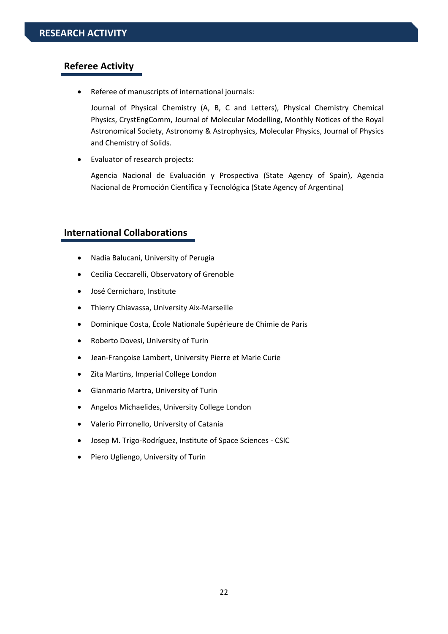#### **Referee Activity**

Referee of manuscripts of international journals:

Journal of Physical Chemistry (A, B, C and Letters), Physical Chemistry Chemical Physics, CrystEngComm, Journal of Molecular Modelling, Monthly Notices of the Royal Astronomical Society, Astronomy & Astrophysics, Molecular Physics, Journal of Physics and Chemistry of Solids.

Evaluator of research projects:

Agencia Nacional de Evaluación y Prospectiva (State Agency of Spain), Agencia Nacional de Promoción Científica y Tecnológica (State Agency of Argentina)

#### **International Collaborations**

- Nadia Balucani, University of Perugia
- Cecilia Ceccarelli, Observatory of Grenoble
- José Cernicharo, Institute
- Thierry Chiavassa, University Aix‐Marseille
- Dominique Costa, École Nationale Supérieure de Chimie de Paris
- Roberto Dovesi, University of Turin
- Jean‐Françoise Lambert, University Pierre et Marie Curie
- Zita Martins, Imperial College London
- Gianmario Martra, University of Turin
- Angelos Michaelides, University College London
- Valerio Pirronello, University of Catania
- Josep M. Trigo‐Rodríguez, Institute of Space Sciences ‐ CSIC
- Piero Ugliengo, University of Turin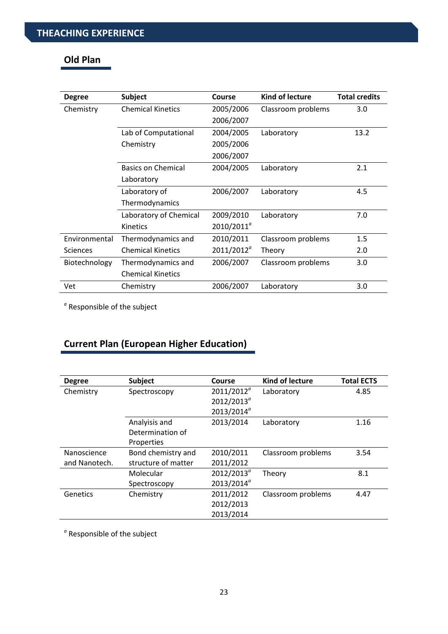# **Old Plan**

| <b>Degree</b>   | <b>Subject</b>            | Course              | <b>Kind of lecture</b> | <b>Total credits</b> |
|-----------------|---------------------------|---------------------|------------------------|----------------------|
| Chemistry       | <b>Chemical Kinetics</b>  | 2005/2006           | Classroom problems     | 3.0                  |
|                 |                           | 2006/2007           |                        |                      |
|                 | Lab of Computational      | 2004/2005           | Laboratory             | 13.2                 |
|                 | Chemistry                 | 2005/2006           |                        |                      |
|                 |                           | 2006/2007           |                        |                      |
|                 | <b>Basics on Chemical</b> | 2004/2005           | Laboratory             | 2.1                  |
|                 | Laboratory                |                     |                        |                      |
|                 | Laboratory of             | 2006/2007           | Laboratory             | 4.5                  |
|                 | Thermodynamics            |                     |                        |                      |
|                 | Laboratory of Chemical    | 2009/2010           | Laboratory             | 7.0                  |
|                 | Kinetics                  | $2010/2011^{\circ}$ |                        |                      |
| Environmental   | Thermodynamics and        | 2010/2011           | Classroom problems     | 1.5                  |
| <b>Sciences</b> | <b>Chemical Kinetics</b>  | $2011/2012^{\circ}$ | Theory                 | 2.0                  |
| Biotechnology   | Thermodynamics and        | 2006/2007           | Classroom problems     | 3.0                  |
|                 | <b>Chemical Kinetics</b>  |                     |                        |                      |
| Vet             | Chemistry                 | 2006/2007           | Laboratory             | 3.0                  |

*<sup>a</sup>* Responsible of the subject

# **Current Plan (European Higher Education)**

| <b>Degree</b> | <b>Subject</b>      | Course              | <b>Kind of lecture</b> | <b>Total ECTS</b> |
|---------------|---------------------|---------------------|------------------------|-------------------|
| Chemistry     | Spectroscopy        | $2011/2012^{\circ}$ | Laboratory             | 4.85              |
|               |                     | $2012/2013^{\circ}$ |                        |                   |
|               |                     | $2013/2014^{\circ}$ |                        |                   |
|               | Analyisis and       | 2013/2014           | Laboratory             | 1.16              |
|               | Determination of    |                     |                        |                   |
|               | Properties          |                     |                        |                   |
| Nanoscience   | Bond chemistry and  | 2010/2011           | Classroom problems     | 3.54              |
| and Nanotech. | structure of matter | 2011/2012           |                        |                   |
|               | Molecular           | $2012/2013^{\circ}$ | Theory                 | 8.1               |
|               | Spectroscopy        | $2013/2014^{\circ}$ |                        |                   |
| Genetics      | Chemistry           | 2011/2012           | Classroom problems     | 4.47              |
|               |                     | 2012/2013           |                        |                   |
|               |                     | 2013/2014           |                        |                   |

*<sup>a</sup>* Responsible of the subject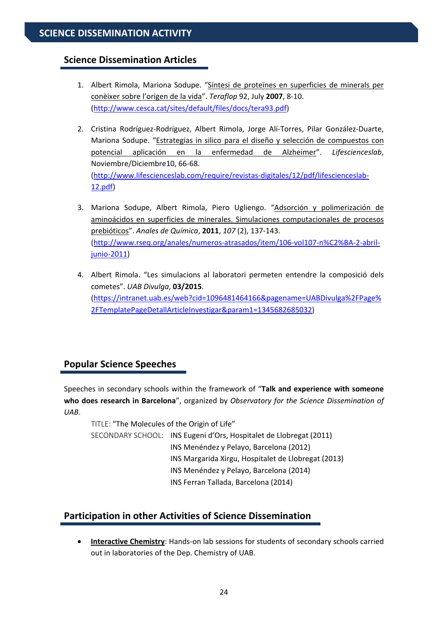# **Science Dissemination Articles**

- 1. Albert Rimola, Mariona Sodupe. "Síntesi de proteïnes en superficies de minerals per conèixer sobre l'origen de la vida". *Teraflop* 92, July **2007**, 8‐10. (http://www.cesca.cat/sites/default/files/docs/tera93.pdf)
- 2. Cristina Rodríguez‐Rodríguez, Albert Rimola, Jorge Alí‐Torres, Pilar González‐Duarte, Mariona Sodupe. "Estrategias in silico para el diseño y selección de compuestos con potencial aplicación en la enfermedad de Alzheimer". *Lifescienceslab*, Noviembre/Diciembre10, 66‐68. (http://www.lifescienceslab.com/require/revistas‐digitales/12/pdf/lifescienceslab‐ 12.pdf)
- 3. Mariona Sodupe, Albert Rimola, Piero Ugliengo. "Adsorción y polimerización de aminoácidos en superficies de minerales. Simulaciones computacionales de procesos prebióticos". *Anales de Química*, **2011**, *107* (2), 137‐143. (http://www.rseq.org/anales/numeros‐atrasados/item/106‐vol107‐n%C2%BA‐2‐abril‐ junio‐2011)
- 4. Albert Rimola. "Les simulacions al laboratori permeten entendre la composició dels cometes". *UAB Divulga*, **03/2015**. (https://intranet.uab.es/web?cid=1096481464166&pagename=UABDivulga%2FPage% 2FTemplatePageDetallArticleInvestigar&param1=1345682685032)

# **Popular Science Speeches**

Speeches in secondary schools within the framework of "**Talk and experience with someone who does research in Barcelona**", organized by *Observatory for the Science Dissemination of UAB*.

TITLE: "The Molecules of the Origin of Life" SECONDARY SCHOOL: INS Eugeni d'Ors, Hospitalet de Llobregat (2011) INS Menéndez y Pelayo, Barcelona (2012) INS Margarida Xirgu, Hospitalet de Llobregat (2013) INS Menéndez y Pelayo, Barcelona (2014) INS Ferran Tallada, Barcelona (2014)

# **Participation in other Activities of Science Dissemination**

 **Interactive Chemistry**: Hands‐on lab sessions for students of secondary schools carried out in laboratories of the Dep. Chemistry of UAB.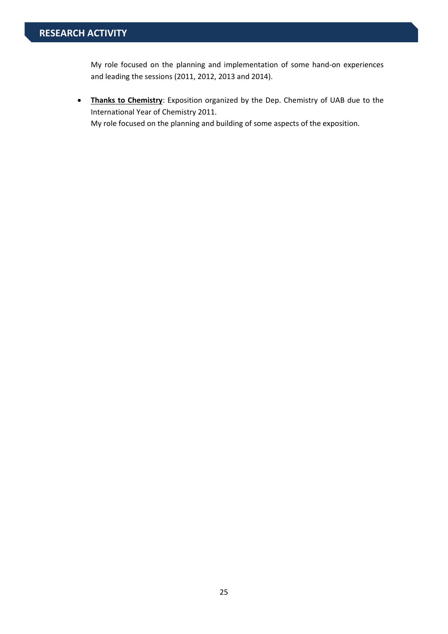My role focused on the planning and implementation of some hand‐on experiences and leading the sessions (2011, 2012, 2013 and 2014).

 **Thanks to Chemistry**: Exposition organized by the Dep. Chemistry of UAB due to the International Year of Chemistry 2011. My role focused on the planning and building of some aspects of the exposition.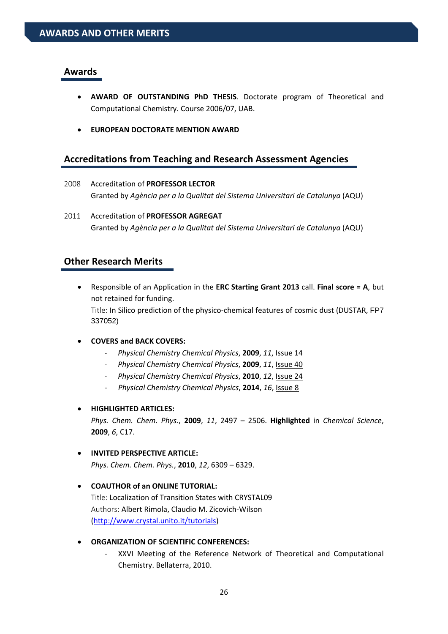#### **Awards**

- **AWARD OF OUTSTANDING PhD THESIS**. Doctorate program of Theoretical and Computational Chemistry. Course 2006/07, UAB.
- **EUROPEAN DOCTORATE MENTION AWARD**

# **Accreditations from Teaching and Research Assessment Agencies**

- 2008 Accreditation of **PROFESSOR LECTOR** Granted by *Agència per a la Qualitat del Sistema Universitari de Catalunya* (AQU)
- 2011 Accreditation of **PROFESSOR AGREGAT** Granted by *Agència per a la Qualitat del Sistema Universitari de Catalunya* (AQU)

### **Other Research Merits**

- Responsible of an Application in the **ERC Starting Grant 2013** call. **Final score = A**, but not retained for funding. Title: In Silico prediction of the physico-chemical features of cosmic dust (DUSTAR, FP7 337052)
- **COVERS and BACK COVERS:** 
	- ‐ *Physical Chemistry Chemical Physics*, **2009**, *11*, Issue 14
	- ‐ *Physical Chemistry Chemical Physics*, **2009**, *11*, Issue 40
	- ‐ *Physical Chemistry Chemical Physics*, **2010**, *12*, Issue 24
	- ‐ *Physical Chemistry Chemical Physics*, **2014**, *16*, Issue 8

#### **HIGHLIGHTED ARTICLES:**

*Phys. Chem. Chem. Phys.*, **2009**, *11*, 2497 – 2506. **Highlighted** in *Chemical Science*, **2009**, *6*, C17.

#### **INVITED PERSPECTIVE ARTICLE:**

*Phys. Chem. Chem. Phys.*, **2010**, *12*, 6309 – 6329.

 **COAUTHOR of an ONLINE TUTORIAL:**  Title: Localization of Transition States with CRYSTAL09 Authors: Albert Rimola, Claudio M. Zicovich‐Wilson (http://www.crystal.unito.it/tutorials)

#### **ORGANIZATION OF SCIENTIFIC CONFERENCES:**

‐ XXVI Meeting of the Reference Network of Theoretical and Computational Chemistry. Bellaterra, 2010.